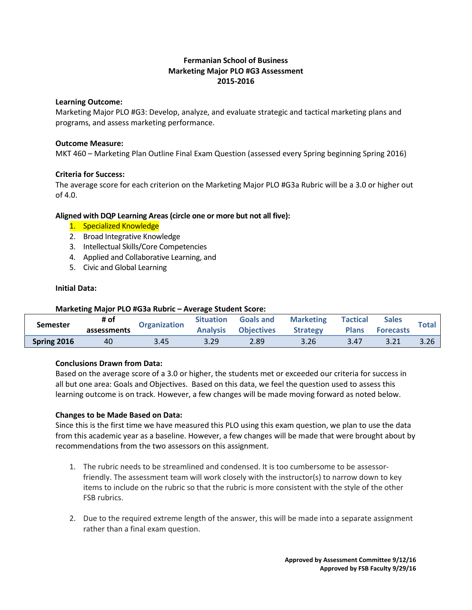## **Fermanian School of Business Marketing Major PLO #G3 Assessment 2015-2016**

#### **Learning Outcome:**

Marketing Major PLO #G3: Develop, analyze, and evaluate strategic and tactical marketing plans and programs, and assess marketing performance.

#### **Outcome Measure:**

MKT 460 – Marketing Plan Outline Final Exam Question (assessed every Spring beginning Spring 2016)

## **Criteria for Success:**

The average score for each criterion on the Marketing Major PLO #G3a Rubric will be a 3.0 or higher out of 4.0.

## **Aligned with DQP Learning Areas (circle one or more but not all five):**

- 1. Specialized Knowledge
- 2. Broad Integrative Knowledge
- 3. Intellectual Skills/Core Competencies
- 4. Applied and Collaborative Learning, and
- 5. Civic and Global Learning

#### **Initial Data:**

| Marketing Major PLO #G3a Rubric - Average Student Score: |                     |              |                                     |                                       |                                     |                                 |                                  |              |
|----------------------------------------------------------|---------------------|--------------|-------------------------------------|---------------------------------------|-------------------------------------|---------------------------------|----------------------------------|--------------|
| <b>Semester</b>                                          | # of<br>assessments | Organization | <b>Situation</b><br><b>Analysis</b> | <b>Goals and</b><br><b>Objectives</b> | <b>Marketing</b><br><b>Strategy</b> | <b>Tactical</b><br><b>Plans</b> | <b>Sales</b><br><b>Forecasts</b> | <b>Total</b> |
|                                                          |                     |              |                                     |                                       |                                     |                                 |                                  |              |
| Spring 2016                                              | 40                  | 3.45         | 3.29                                | 2.89                                  | 3.26                                | 3.47                            | 3.21                             | 3.26         |

## **Conclusions Drawn from Data:**

Based on the average score of a 3.0 or higher, the students met or exceeded our criteria for success in all but one area: Goals and Objectives. Based on this data, we feel the question used to assess this learning outcome is on track. However, a few changes will be made moving forward as noted below.

## **Changes to be Made Based on Data:**

Since this is the first time we have measured this PLO using this exam question, we plan to use the data from this academic year as a baseline. However, a few changes will be made that were brought about by recommendations from the two assessors on this assignment.

- 1. The rubric needs to be streamlined and condensed. It is too cumbersome to be assessorfriendly. The assessment team will work closely with the instructor(s) to narrow down to key items to include on the rubric so that the rubric is more consistent with the style of the other FSB rubrics.
- 2. Due to the required extreme length of the answer, this will be made into a separate assignment rather than a final exam question.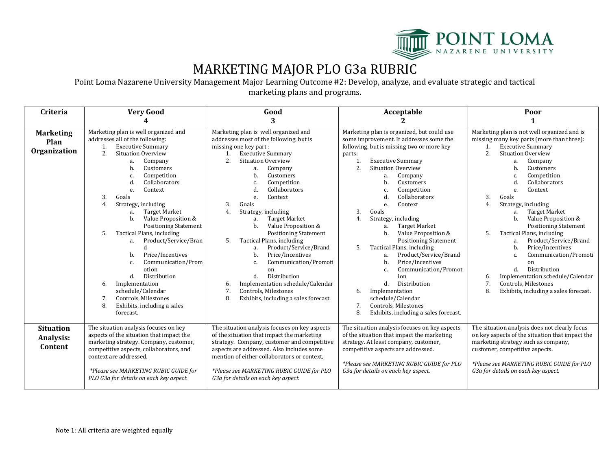

# MARKETING MAJOR PLO G3a RUBRIC

Point Loma Nazarene University Management Major Learning Outcome #2: Develop, analyze, and evaluate strategic and tactical marketing plans and programs.

| Criteria                                 | <b>Very Good</b>                                                                                                                                                                                                                                                                                                                                                                                                                                                                                                                                                                                                                                                  | Good                                                                                                                                                                                                                                                                                                                                                                                                                                                                                                                                                                                                                                                                                               | Acceptable                                                                                                                                                                                                                                                                                                                                                                                                                                                                                                                                                                                                                                                                                                                                 | Poor                                                                                                                                                                                                                                                                                                                                                                                                                                                                                                                                                                                                                                                 |  |
|------------------------------------------|-------------------------------------------------------------------------------------------------------------------------------------------------------------------------------------------------------------------------------------------------------------------------------------------------------------------------------------------------------------------------------------------------------------------------------------------------------------------------------------------------------------------------------------------------------------------------------------------------------------------------------------------------------------------|----------------------------------------------------------------------------------------------------------------------------------------------------------------------------------------------------------------------------------------------------------------------------------------------------------------------------------------------------------------------------------------------------------------------------------------------------------------------------------------------------------------------------------------------------------------------------------------------------------------------------------------------------------------------------------------------------|--------------------------------------------------------------------------------------------------------------------------------------------------------------------------------------------------------------------------------------------------------------------------------------------------------------------------------------------------------------------------------------------------------------------------------------------------------------------------------------------------------------------------------------------------------------------------------------------------------------------------------------------------------------------------------------------------------------------------------------------|------------------------------------------------------------------------------------------------------------------------------------------------------------------------------------------------------------------------------------------------------------------------------------------------------------------------------------------------------------------------------------------------------------------------------------------------------------------------------------------------------------------------------------------------------------------------------------------------------------------------------------------------------|--|
|                                          |                                                                                                                                                                                                                                                                                                                                                                                                                                                                                                                                                                                                                                                                   | 3                                                                                                                                                                                                                                                                                                                                                                                                                                                                                                                                                                                                                                                                                                  |                                                                                                                                                                                                                                                                                                                                                                                                                                                                                                                                                                                                                                                                                                                                            |                                                                                                                                                                                                                                                                                                                                                                                                                                                                                                                                                                                                                                                      |  |
| <b>Marketing</b><br>Plan<br>Organization | Marketing plan is well organized and<br>addresses all of the following:<br><b>Executive Summary</b><br>1.<br><b>Situation Overview</b><br>2.<br>Company<br>a.<br>Customers<br>b.<br>Competition<br>Collaborators<br>d.<br>Context<br>e.<br>3.<br>Goals<br>Strategy, including<br>4.<br><b>Target Market</b><br>a.<br>Value Proposition &<br>b.<br><b>Positioning Statement</b><br>Tactical Plans, including<br>5.<br>Product/Service/Bran<br>a.<br>Price/Incentives<br>b.<br>Communication/Prom<br>c.<br>otion<br>Distribution<br>d.<br>Implementation<br>6.<br>schedule/Calendar<br>Controls, Milestones<br>7.<br>8.<br>Exhibits, including a sales<br>forecast. | Marketing plan is well organized and<br>addresses most of the following, but is<br>missing one key part:<br><b>Executive Summary</b><br>1.<br>2.<br><b>Situation Overview</b><br>Company<br>a.<br>Customers<br>b.<br>Competition<br>C.<br>Collaborators<br>d<br>Context<br>e.<br>3.<br>Goals<br>4.<br>Strategy, including<br><b>Target Market</b><br>a.<br>Value Proposition &<br>b.<br><b>Positioning Statement</b><br>Tactical Plans, including<br>5.<br>Product/Service/Brand<br>a.<br>Price/Incentives<br>b.<br>Communication/Promoti<br>C.<br>on<br>Distribution<br>d.<br>Implementation schedule/Calendar<br>6.<br>7.<br>Controls, Milestones<br>8.<br>Exhibits, including a sales forecast. | Marketing plan is organized, but could use<br>some improvement. It addresses some the<br>following, but is missing two or more key<br>parts:<br><b>Executive Summary</b><br>1.<br>2.<br><b>Situation Overview</b><br>Company<br>a.<br>b.<br>Customers<br>Competition<br>C.<br>d.<br>Collaborators<br>Context<br>e.<br>3.<br>Goals<br>Strategy, including<br>4.<br><b>Target Market</b><br>a.<br>Value Proposition &<br>b.<br><b>Positioning Statement</b><br>5.<br>Tactical Plans, including<br>Product/Service/Brand<br>a.<br>Price/Incentives<br>b.<br>Communication/Promot<br>c.<br>ion<br>Distribution<br>d.<br>Implementation<br>6.<br>schedule/Calendar<br>Controls, Milestones<br>7.<br>8.<br>Exhibits, including a sales forecast. | Marketing plan is not well organized and is<br>missing many key parts (more than three):<br><b>Executive Summary</b><br>1.<br>2.<br><b>Situation Overview</b><br>Company<br>a.<br>Customers<br>Competition<br>Collaborators<br>Context<br>e.<br>Goals<br>3.<br>4.<br>Strategy, including<br>Target Market<br>a.<br>Value Proposition &<br><b>Positioning Statement</b><br>Tactical Plans, including<br>5.<br>Product/Service/Brand<br>a.<br>Price/Incentives<br>b.<br>Communication/Promoti<br>C.<br>on<br>Distribution<br>d.<br>Implementation schedule/Calendar<br>6.<br>7.<br>Controls, Milestones<br>8.<br>Exhibits, including a sales forecast. |  |
| <b>Situation</b><br>Analysis:<br>Content | The situation analysis focuses on key<br>aspects of the situation that impact the<br>marketing strategy. Company, customer,<br>competitive aspects, collaborators, and<br>context are addressed.<br>*Please see MARKETING RUBIC GUIDE for<br>PLO G3a for details on each key aspect.                                                                                                                                                                                                                                                                                                                                                                              | The situation analysis focuses on key aspects<br>of the situation that impact the marketing<br>strategy. Company, customer and competitive<br>aspects are addressed. Also includes some<br>mention of either collaborators or context,<br>*Please see MARKETING RUBIC GUIDE for PLO<br>G3a for details on each key aspect.                                                                                                                                                                                                                                                                                                                                                                         | The situation analysis focuses on key aspects<br>of the situation that impact the marketing<br>strategy. At least company, customer,<br>competitive aspects are addressed.<br>*Please see MARKETING RUBIC GUIDE for PLO<br>G3a for details on each key aspect.                                                                                                                                                                                                                                                                                                                                                                                                                                                                             | The situation analysis does not clearly focus<br>on key aspects of the situation that impact the<br>marketing strategy such as company,<br>customer, competitive aspects.<br>*Please see MARKETING RUBIC GUIDE for PLO<br>G3a for details on each key aspect.                                                                                                                                                                                                                                                                                                                                                                                        |  |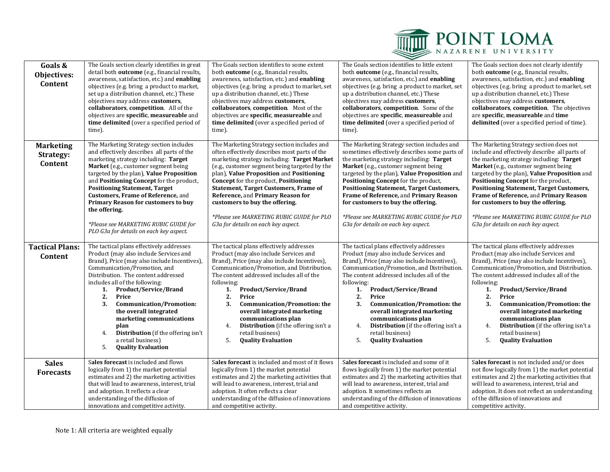

| Goals &<br>Objectives:<br>Content        | The Goals section clearly identifies in great<br>detail both outcome (e.g., financial results,<br>awareness, satisfaction, etc.) and enabling<br>objectives (e.g. bring a product to market,<br>set up a distribution channel, etc.) These<br>objectives may address customers,<br>collaborators, competition. All of the<br>objectives are specific, measureable and<br>time delimited (over a specified period of<br>time).                                                                                 | The Goals section identifies to some extent<br>both outcome (e.g., financial results,<br>awareness, satisfaction, etc.) and enabling<br>objectives (e.g. bring a product to market, set<br>up a distribution channel, etc.) These<br>objectives may address customers,<br>collaborators, competition. Most of the<br>objectives are specific, measureable and<br>time delimited (over a specified period of<br>time).                                                                                      | The Goals section identifies to little extent<br>both outcome (e.g., financial results,<br>awareness, satisfaction, etc.) and enabling<br>objectives (e.g. bring a product to market, set<br>up a distribution channel, etc.) These<br>objectives may address customers,<br>collaborators, competition. Some of the<br>objectives are specific, measureable and<br>time delimited (over a specified period of<br>time).                                                                                    | The Goals section does not clearly identify<br>both outcome (e.g., financial results,<br>awareness, satisfaction, etc.) and enabling<br>objectives (e.g. bring a product to market, set<br>up a distribution channel, etc.) These<br>objectives may address customers,<br>collaborators, competition. The objectives<br>are specific, measureable and time<br>delimited (over a specified period of time).                                                                                                        |  |
|------------------------------------------|---------------------------------------------------------------------------------------------------------------------------------------------------------------------------------------------------------------------------------------------------------------------------------------------------------------------------------------------------------------------------------------------------------------------------------------------------------------------------------------------------------------|------------------------------------------------------------------------------------------------------------------------------------------------------------------------------------------------------------------------------------------------------------------------------------------------------------------------------------------------------------------------------------------------------------------------------------------------------------------------------------------------------------|------------------------------------------------------------------------------------------------------------------------------------------------------------------------------------------------------------------------------------------------------------------------------------------------------------------------------------------------------------------------------------------------------------------------------------------------------------------------------------------------------------|-------------------------------------------------------------------------------------------------------------------------------------------------------------------------------------------------------------------------------------------------------------------------------------------------------------------------------------------------------------------------------------------------------------------------------------------------------------------------------------------------------------------|--|
| <b>Marketing</b><br>Strategy:<br>Content | The Marketing Strategy section includes<br>and effectively describes all parts of the<br>marketing strategy including: Target<br>Market (e.g., customer segment being<br>targeted by the plan), Value Proposition<br>and Positioning Concept for the product,<br><b>Positioning Statement, Target</b><br>Customers, Frame of Reference, and<br>Primary Reason for customers to buy<br>the offering.<br>*Please see MARKETING RUBIC GUIDE for<br>PLO G3a for details on each key aspect.                       | The Marketing Strategy section includes and<br>often effectively describes most parts of the<br>marketing strategy including: Target Market<br>(e.g., customer segment being targeted by the<br>plan), Value Proposition and Positioning<br>Concept for the product, Positioning<br><b>Statement, Target Customers, Frame of</b><br>Reference, and Primary Reason for<br>customers to buy the offering.<br>*Please see MARKETING RUBIC GUIDE for PLO<br>G3a for details on each key aspect.                | The Marketing Strategy section includes and<br>sometimes effectively describes some parts of<br>the marketing strategy including: Target<br>Market (e.g., customer segment being<br>targeted by the plan), Value Proposition and<br>Positioning Concept for the product,<br><b>Positioning Statement, Target Customers,</b><br>Frame of Reference, and Primary Reason<br>for customers to buy the offering.<br>*Please see MARKETING RUBIC GUIDE for PLO<br>G3a for details on each key aspect.            | The Marketing Strategy section does not<br>include and effectively describe all parts of<br>the marketing strategy including: Target<br>Market (e.g., customer segment being<br>targeted by the plan), Value Proposition and<br>Positioning Concept for the product,<br><b>Positioning Statement, Target Customers,</b><br>Frame of Reference, and Primary Reason<br>for customers to buy the offering.<br>*Please see MARKETING RUBIC GUIDE for PLO<br>G3a for details on each key aspect.                       |  |
| <b>Tactical Plans:</b><br>Content        | The tactical plans effectively addresses<br>Product (may also include Services and<br>Brand), Price (may also include Incentives),<br>Communication/Promotion, and<br>Distribution. The content addressed<br>includes all of the following:<br>Product/Service/Brand<br>1.<br>2.<br>Price<br>3.<br><b>Communication/Promotion:</b><br>the overall integrated<br>marketing communications<br>plan<br><b>Distribution</b> (if the offering isn't<br>4.<br>a retail business)<br><b>Quality Evaluation</b><br>5. | The tactical plans effectively addresses<br>Product (may also include Services and<br>Brand), Price (may also include Incentives),<br>Communication/Promotion, and Distribution.<br>The content addressed includes all of the<br>following:<br><b>Product/Service/Brand</b><br>1.<br>2.<br>Price<br>3.<br><b>Communication/Promotion: the</b><br>overall integrated marketing<br>communications plan<br>Distribution (if the offering isn't a<br>4.<br>retail business)<br><b>Quality Evaluation</b><br>5. | The tactical plans effectively addresses<br>Product (may also include Services and<br>Brand), Price (may also include Incentives),<br>Communication/Promotion, and Distribution.<br>The content addressed includes all of the<br>following:<br>1.<br><b>Product/Service/Brand</b><br>2.<br>Price<br>3.<br><b>Communication/Promotion: the</b><br>overall integrated marketing<br>communications plan<br>Distribution (if the offering isn't a<br>4.<br>retail business)<br>5.<br><b>Quality Evaluation</b> | The tactical plans effectively addresses<br>Product (may also include Services and<br>Brand), Price (may also include Incentives),<br>Communication/Promotion, and Distribution.<br>The content addressed includes all of the<br>following:<br><b>Product/Service/Brand</b><br>1.<br>2.<br>Price<br>3.<br><b>Communication/Promotion: the</b><br>overall integrated marketing<br>communications plan<br><b>Distribution</b> (if the offering isn't a<br>4.<br>retail business)<br><b>Quality Evaluation</b><br>5. |  |
| <b>Sales</b><br><b>Forecasts</b>         | Sales forecast is included and flows<br>logically from 1) the market potential<br>estimates and 2) the marketing activities<br>that will lead to awareness, interest, trial<br>and adoption. It reflects a clear<br>understanding of the diffusion of<br>innovations and competitive activity.                                                                                                                                                                                                                | Sales forecast is included and most of it flows<br>logically from 1) the market potential<br>estimates and 2) the marketing activities that<br>will lead to awareness, interest, trial and<br>adoption. It often reflects a clear<br>understanding of the diffusion of innovations<br>and competitive activity.                                                                                                                                                                                            | Sales forecast is included and some of it<br>flows logically from 1) the market potential<br>estimates and 2) the marketing activities that<br>will lead to awareness, interest, trial and<br>adoption. It sometimes reflects an<br>understanding of the diffusion of innovations<br>and competitive activity.                                                                                                                                                                                             | Sales forecast is not included and/or does<br>not flow logically from 1) the market potential<br>estimates and 2) the marketing activities that<br>will lead to awareness, interest, trial and<br>adoption. It does not reflect an understanding<br>of the diffusion of innovations and<br>competitive activity.                                                                                                                                                                                                  |  |